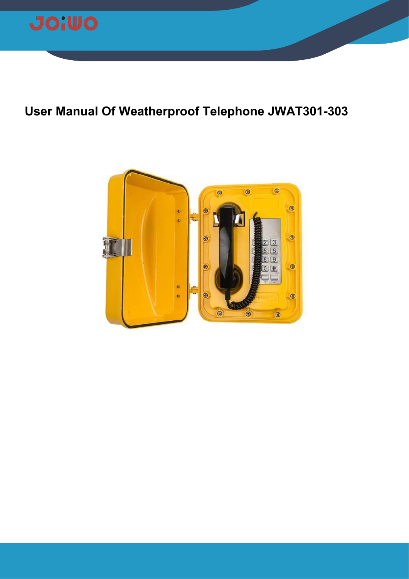

# **User Manual Of Weatherproof Telephone JWAT301-303**

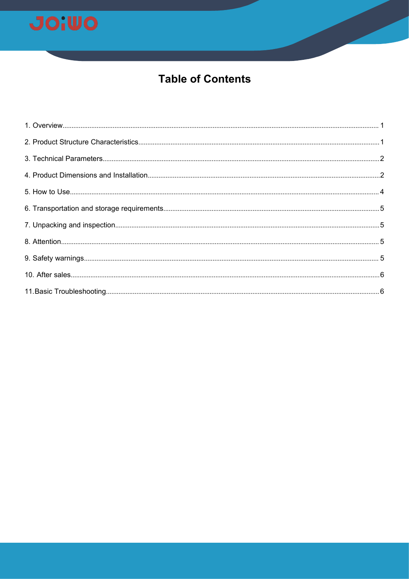

## **Table of Contents**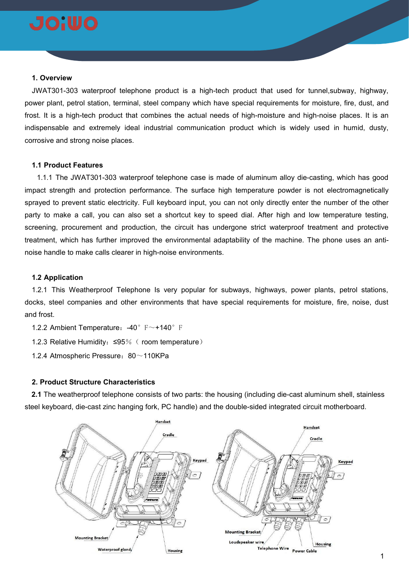

### <span id="page-2-0"></span>**1. Overview**

JWAT301-303 waterproof telephone product is a high-tech product that used for tunnel,subway, highway, power plant, petrol station, terminal, steel company which have special requirements for moisture, fire, dust, and frost. It is a high-tech product that combines the actual needs of high-moisture and high-noise places. It is an indispensable and extremely ideal industrial communication product which is widely used in humid, dusty, corrosive and strong noise places.

## **1.1 Product Features**

1.1.1 The JWAT301-303 waterproof telephone case ismade of aluminum alloy die-casting, which has good impact strength and protection performance. The surface high temperature powder is not electromagnetically sprayed to prevent static electricity. Full keyboard input, you can not only directly enter the number of the other party to make a call, you can also set a shortcut key to speed dial. After high and low temperature testing, screening, procurement and production, the circuit has undergone strict waterproof treatment and protective treatment, which has further improved the environmental adaptability of the machine. The phone uses an anti noise handle to make calls clearer in high-noise environments.

## **1.2 Application**

1.2.1 This Weatherproof Telephone Is very popular for subways, highways, power plants, petrol stations, docks, steel companies and other environments that have special requirements for moisture, fire, noise, dust and frost.

1.2.2 Ambient Temperature: -40° F~+140° F

1.2.3 Relative Humidity:≤95%( room temperature)

1.2.4 Atmospheric Pressure: 80~110KPa

#### <span id="page-2-1"></span>**2. Product Structure Characteristics**

**2.1** The weatherproof telephone consists of two parts: the housing (including die-cast aluminum shell, stainless steel keyboard, die-cast zinc hanging fork, PC handle) and the double-sided integrated circuit motherboard.

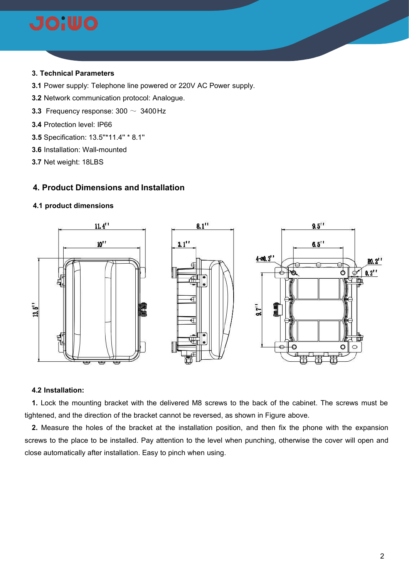

## <span id="page-3-0"></span>**3. Technical Parameters**

- **3.1** Power supply: Telephone line powered or 220V AC Power supply.
- **3.2** Network communication protocol: Analogue.
- **3.3** Frequency response: 300 ~ 3400Hz
- **3.4** Protection level: IP66
- **3.5** Specification: 13.5''\*11.4'' \* 8.1''
- **3.6** Installation: Wall-mounted
- **3.7** Net weight: 18LBS

## <span id="page-3-1"></span>**4. Product Dimensions and Installation**

## **4.1 product dimensions**



### **4.2 Installation:**

**1.** Lock the mounting bracket with the delivered M8 screws to the back of the cabinet. The screws must be tightened, and the direction of the bracket cannot be reversed, as shown in Figure above.

**2.** Measure the holes of the bracket at the installation position, and then fix the phone with the expansion screws to the place to be installed. Pay attention to the level when punching, otherwise the cover will open and close automatically after installation. Easy to pinch when using.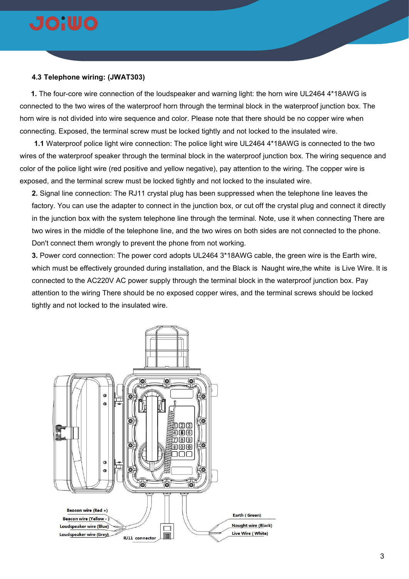

## **4.3 Telephone wiring: (JWAT303)**

**1.** The four-core wire connection of the loudspeaker and warning light: the horn wire UL2464 4\*18AWG is connected to the two wires of the waterproof horn through the terminal block in the waterproof junction box. The horn wire is not divided into wire sequence and color. Please note that there should be no copper wire when connecting. Exposed, the terminal screw must be locked tightly and not locked to the insulated wire.

**1.1** Waterproof police light wire connection: The police light wire UL2464 4\*18AWG is connected to the two wires of the waterproof speaker through the terminal block in the waterproof junction box. The wiring sequence and color of the police light wire (red positive and yellow negative), pay attention to the wiring. The copper wire is exposed, and the terminal screw must be locked tightly and not locked to the insulated wire.

**2.** Signal line connection: The RJ11 crystal plug has been suppressed when the telephone line leaves the factory. You can use the adapter to connect in the junction box, or cut off the crystal plug and connect it directly in the junction box with the system telephone line through the terminal. Note, use it when connecting There are two wires in the middle of the telephone line, and the two wires on both sides are not connected to the phone. Don't connect them wrongly to prevent the phone from not working.

**3.** Power cord connection: The power cord adopts UL2464 3\*18AWG cable, the green wire is the Earth wire, which must be effectively grounded during installation, and the Black is Naught wire,the white is Live Wire. It is connected to the AC220V AC power supply through the terminal block in the waterproof junction box. Pay attention to the wiring There should be no exposed copper wires, and the terminal screws should be locked tightly and not locked to the insulated wire.

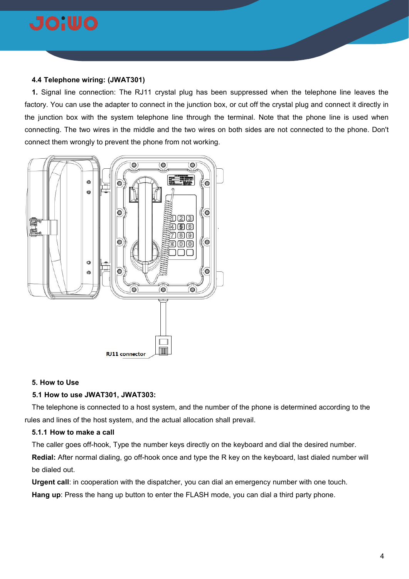

## **4.4 Telephone wiring: (JWAT301)**

**1.** Signal line connection: The RJ11 crystal plug has been suppressed when the telephone line leaves the factory. You can use the adapter to connect in the junction box, or cut off the crystal plug and connect it directly in the junction box with the system telephone line through the terminal. Note that the phone line is used when connecting. The two wires in the middle and the two wires on both sides are not connected to the phone. Don't connect them wrongly to prevent the phone from not working.



## <span id="page-5-0"></span>**5. How to Use**

## **5.1 How to use JWAT301, JWAT303:**

The telephone is connected to a host system, and the number of the phone is determined according to the rules and lines of the host system, and the actual allocation shall prevail.

#### **5.1.1 How to make a call**

The caller goes off-hook, Type the number keys directly on the keyboard and dial the desired number. **Redial:** After normal dialing, go off-hook once and type the R key on the keyboard, last dialed number will be dialed out.

**Urgent call**: in cooperation with the dispatcher, you can dial an emergency number with one touch. **Hang up**: Press the hang up button to enter the FLASH mode, you can dial a third party phone.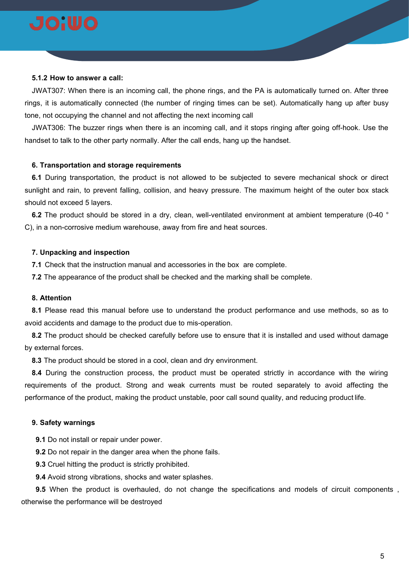

#### **5.1.2 How to answer a call:**

JWAT307: When there isan incoming call, the phone rings, and the PA is automatically turned on. After three rings, it is automatically connected (the number of ringing times can be set). Automatically hang up after busy tone, not occupying the channel and not affecting the next incoming call

JWAT306: The buzzer rings when there is an incoming call, and it stops ringing after going off-hook. Use the handset to talk to the other party normally. After the call ends, hang up the handset.

## <span id="page-6-0"></span>**6. Transportation and storage requirements**

**6.1** During transportation, the product is not allowed to be subjected to severe mechanical shock or direct sunlight and rain, to prevent falling, collision, and heavy pressure. The maximum height of the outer box stack should not exceed 5 layers.

**6.2** The product should be stored in a dry, clean, well-ventilated environment at ambient temperature (0-40 ° C), in a non-corrosive medium warehouse, away from fire and heat sources.

### <span id="page-6-1"></span>**7. Unpacking and inspection**

**7.1** Check that the instruction manual and accessories in the box are complete.

**7.2** The appearance of the product shall be checked and the marking shall be complete.

## <span id="page-6-2"></span>**8. Attention**

**8.1** Please read this manual before use to understand the product performance and use methods, so as to avoid accidents and damage to the product due to mis-operation.

**8.2** The product should be checked carefully before use to ensure that it is installed and used without damage by external forces.

**8.3** The product should be stored in a cool, clean and dry environment.

**8.4** During the construction process, the product must be operated strictly in accordance with the wiring requirements of the product. Strong and weak currents must be routed separately to avoid affecting the performance of the product, making the product unstable, poor call sound quality, and reducing product life.

#### <span id="page-6-3"></span>**9. Safety warnings**

**9.1** Do not install or repair under power.

**9.2** Do not repair in the danger area when the phone fails.

**9.3** Cruel hitting the product is strictly prohibited.

**9.4** Avoid strong vibrations, shocks and water splashes.

**9.5** When the product is overhauled, do not change the specifications and models of circuit components , otherwise the performance will be destroyed